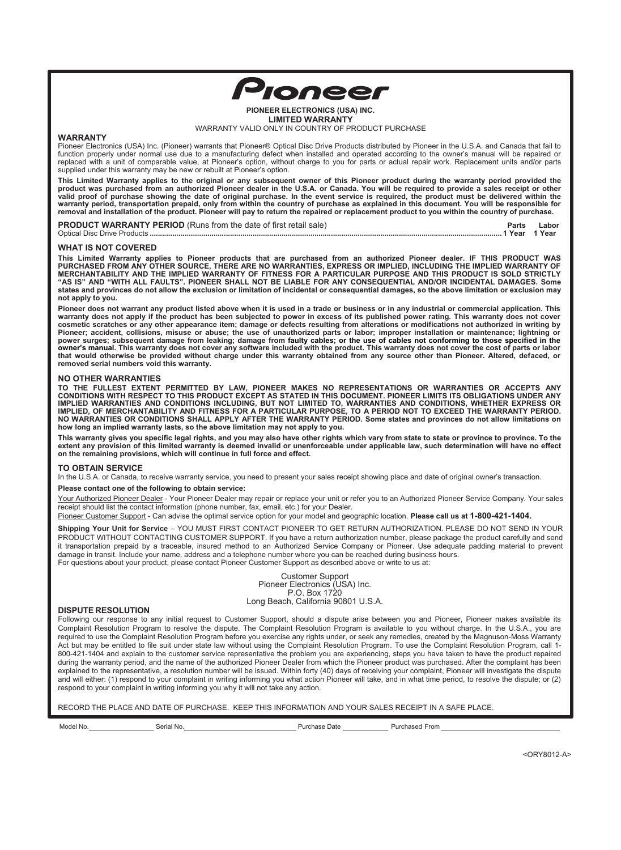

#### **PIONEER ELECTRONICS (USA) INC. LIMITED WARRANTY** WARRANTY VALID ONLY IN COUNTRY OF PRODUCT PURCHASE

# **WARRANTY**

Pioneer Electronics (USA) Inc. (Pioneer) warrants that Pioneer® Optical Disc Drive Products distributed by Pioneer in the U.S.A. and Canada that fail to function properly under normal use due to a manufacturing defect when installed and operated according to the owner's manual will be repaired or replaced with a unit of comparable value, at Pioneer's option, without charge to you for parts or actual repair work. Replacement units and/or parts supplied under this warranty may be new or rebuilt at Pioneer's option.

**This Limited Warranty applies to the original or any subsequent owner of this Pioneer product during the warranty period provided the product was purchased from an authorized Pioneer dealer in the U.S.A. or Canada. You will be required to provide a sales receipt or other valid proof of purchase showing the date of original purchase. In the event service is required, the product must be delivered within the warranty period, transportation prepaid, only from within the country of purchase as explained in this document. You will be responsible for removal and installation of the product. Pioneer will pay to return the repaired or replacement product to you within the country of purchase.** 

| <b>PRODUCT WARRANTY PERIOD</b> (Runs from the date of first retail sale) | Parts |  |
|--------------------------------------------------------------------------|-------|--|
|                                                                          |       |  |

#### **WHAT IS NOT COVERED**

**This Limited Warranty applies to Pioneer products that are purchased from an authorized Pioneer dealer. IF THIS PRODUCT WAS PURCHASED FROM ANY OTHER SOURCE, THERE ARE NO WARRANTIES, EXPRESS OR IMPLIED, INCLUDING THE IMPLIED WARRANTY OF MERCHANTABILITY AND THE IMPLIED WARRANTY OF FITNESS FOR A PARTICULAR PURPOSE AND THIS PRODUCT IS SOLD STRICTLY "AS IS" AND "WITH ALL FAULTS". PIONEER SHALL NOT BE LIABLE FOR ANY CONSEQUENTIAL AND/OR INCIDENTAL DAMAGES. Some states and provinces do not allow the exclusion or limitation of incidental or consequential damages, so the above limitation or exclusion may not apply to you.**

**Pioneer does not warrant any product listed above when it is used in a trade or business or in any industrial or commercial application. This warranty does not apply if the product has been subjected to power in excess of its published power rating. This warranty does not cover cosmetic scratches or any other appearance item; damage or defects resulting from alterations or modifications not authorized in writing by Pioneer; accident, collisions, misuse or abuse; the use of unauthorized parts or labor; improper installation or maintenance; lightning or power surges; subsequent damage from leaking; damage from faulty cables; or the use of cables not conforming to those specified in the owner's manual. This warranty does not cover any software included with the product. This warranty does not cover the cost of parts or labor that would otherwise be provided without charge under this warranty obtained from any source other than Pioneer. Altered, defaced, or removed serial numbers void this warranty.**

# **NO OTHER WARRANTIES**

**TO THE FULLEST EXTENT PERMITTED BY LAW, PIONEER MAKES NO REPRESENTATIONS OR WARRANTIES OR ACCEPTS ANY CONDITIONS WITH RESPECT TO THIS PRODUCT EXCEPT AS STATED IN THIS DOCUMENT. PIONEER LIMITS ITS OBLIGATIONS UNDER ANY IMPLIED WARRANTIES AND CONDITIONS INCLUDING, BUT NOT LIMITED TO, WARRANTIES AND CONDITIONS, WHETHER EXPRESS OR IMPLIED, OF MERCHANTABILITY AND FITNESS FOR A PARTICULAR PURPOSE, TO A PERIOD NOT TO EXCEED THE WARRANTY PERIOD. NO WARRANTIES OR CONDITIONS SHALL APPLY AFTER THE WARRANTY PERIOD. Some states and provinces do not allow limitations on how long an implied warranty lasts, so the above limitation may not apply to you.** 

**This warranty gives you specific legal rights, and you may also have other rights which vary from state to state or province to province. To the extent any provision of this limited warranty is deemed invalid or unenforceable under applicable law, such determination will have no effect on the remaining provisions, which will continue in full force and effect.**

# **TO OBTAIN SERVICE**

In the U.S.A. or Canada, to receive warranty service, you need to present your sales receipt showing place and date of original owner's transaction.

**Please contact one of the following to obtain service:**

Your Authorized Pioneer Dealer - Your Pioneer Dealer may repair or replace your unit or refer you to an Authorized Pioneer Service Company. Your sales receipt should list the contact information (phone number, fax, email, etc.) for your Dealer.

Pioneer Customer Support - Can advise the optimal service option for your model and geographic location. **Please call us at 1-800-421-1404.**

**Shipping Your Unit for Service** – YOU MUST FIRST CONTACT PIONEER TO GET RETURN AUTHORIZATION. PLEASE DO NOT SEND IN YOUR PRODUCT WITHOUT CONTACTING CUSTOMER SUPPORT. If you have a return authorization number, please package the product carefully and send it transportation prepaid by a traceable, insured method to an Authorized Service Company or Pioneer. Use adequate padding material to prevent damage in transit. Include your name, address and a telephone number where you can be reached during business hours. For questions about your product, please contact Pioneer Customer Support as described above or write to us at:

> Customer Support Pioneer Electronics (USA) Inc. P.O. Box 1720 Long Beach, California 90801 U.S.A.

#### **DISPUTE RESOLUTION**

Following our response to any initial request to Customer Support, should a dispute arise between you and Pioneer, Pioneer makes available its Complaint Resolution Program to resolve the dispute. The Complaint Resolution Program is available to you without charge. In the U.S.A., you are required to use the Complaint Resolution Program before you exercise any rights under, or seek any remedies, created by the Magnuson-Moss Warranty Act but may be entitled to file suit under state law without using the Complaint Resolution Program. To use the Complaint Resolution Program, call 1- 800-421-1404 and explain to the customer service representative the problem you are experiencing, steps you have taken to have the product repaired during the warranty period, and the name of the authorized Pioneer Dealer from which the Pioneer product was purchased. After the complaint has been explained to the representative, a resolution number will be issued. Within forty (40) days of receiving your complaint, Pioneer will investigate the dispute and will either: (1) respond to your complaint in writing informing you what action Pioneer will take, and in what time period, to resolve the dispute; or (2) respond to your complaint in writing informing you why it will not take any action.

RECORD THE PLACE AND DATE OF PURCHASE. KEEP THIS INFORMATION AND YOUR SALES RECEIPT IN A SAFE PLACE.

Model No. Serial No. Purchase Date Purchased From

<ORY8012-A>